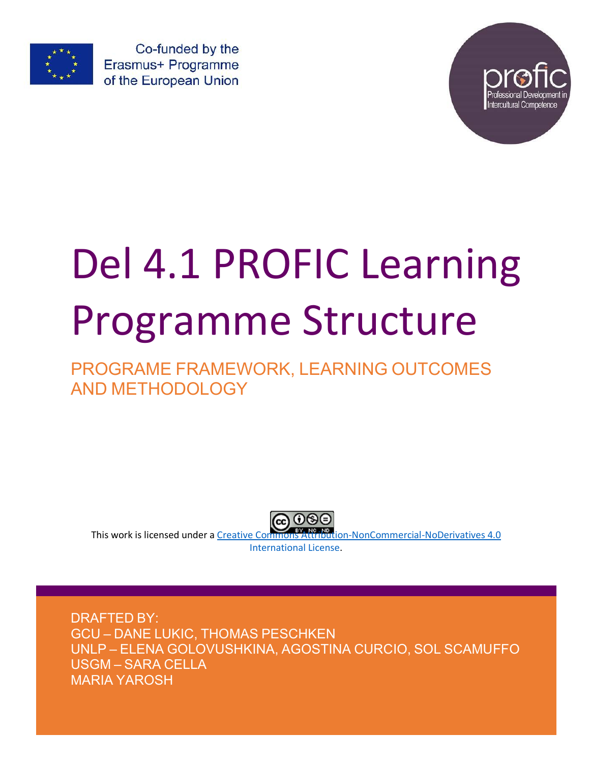

Co-funded by the Erasmus+ Programme of the European Union



# Del 4.1 PROFIC Learning Programme Structure

# PROGRAME FRAMEWORK, LEARNING OUTCOMES AND METHODOLOGY



This work is licensed under a Creative Commons Attribution-NonCommercial-NoDerivatives 4.0 International License.

DRAFTED BY: GCU – DANE LUKIC, THOMAS PESCHKEN UNLP – ELENA GOLOVUSHKINA, AGOSTINA CURCIO, SOL SCAMUFFO USGM – SARA CELLA MARIA YAROSH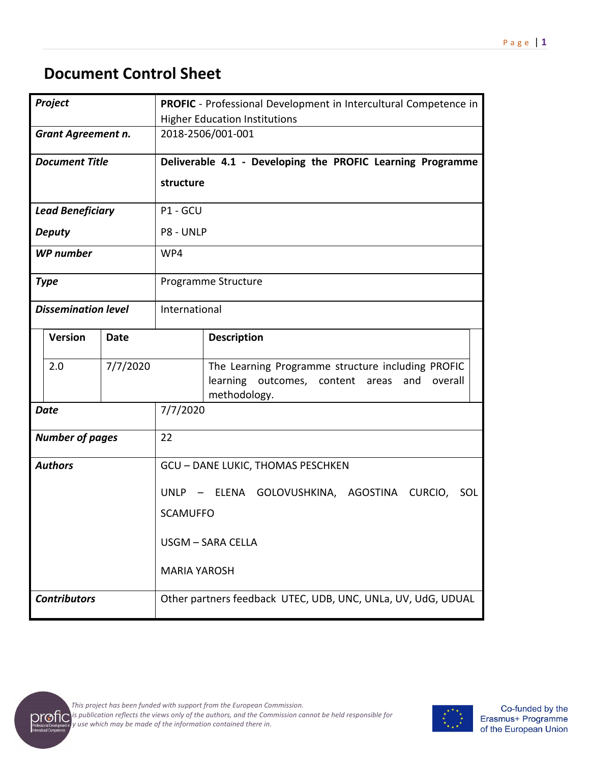# **Document Control Sheet**

| Project                       |                            | <b>PROFIC</b> - Professional Development in Intercultural Competence in |                     |                                                                                                                         |  |  |
|-------------------------------|----------------------------|-------------------------------------------------------------------------|---------------------|-------------------------------------------------------------------------------------------------------------------------|--|--|
|                               |                            | <b>Higher Education Institutions</b>                                    |                     |                                                                                                                         |  |  |
| <b>Grant Agreement n.</b>     |                            |                                                                         | 2018-2506/001-001   |                                                                                                                         |  |  |
|                               | <b>Document Title</b>      |                                                                         |                     | Deliverable 4.1 - Developing the PROFIC Learning Programme                                                              |  |  |
|                               |                            |                                                                         | structure           |                                                                                                                         |  |  |
|                               | <b>Lead Beneficiary</b>    |                                                                         | P1 - GCU            |                                                                                                                         |  |  |
|                               | <b>Deputy</b>              |                                                                         | P8 - UNLP           |                                                                                                                         |  |  |
|                               | <b>WP</b> number           |                                                                         | WP4                 |                                                                                                                         |  |  |
|                               | <b>Type</b>                |                                                                         |                     | Programme Structure                                                                                                     |  |  |
|                               | <b>Dissemination level</b> |                                                                         |                     | International                                                                                                           |  |  |
| <b>Version</b><br><b>Date</b> |                            |                                                                         |                     | <b>Description</b>                                                                                                      |  |  |
|                               | 7/7/2020<br>2.0            |                                                                         |                     | The Learning Programme structure including PROFIC<br>learning outcomes, content areas<br>overall<br>and<br>methodology. |  |  |
|                               | <b>Date</b>                |                                                                         | 7/7/2020            |                                                                                                                         |  |  |
|                               | <b>Number of pages</b>     |                                                                         | 22                  |                                                                                                                         |  |  |
|                               | <b>Authors</b>             |                                                                         |                     | <b>GCU - DANE LUKIC, THOMAS PESCHKEN</b>                                                                                |  |  |
|                               |                            |                                                                         |                     | UNLP - ELENA GOLOVUSHKINA, AGOSTINA CURCIO, SOL                                                                         |  |  |
|                               |                            |                                                                         | <b>SCAMUFFO</b>     |                                                                                                                         |  |  |
|                               |                            |                                                                         |                     |                                                                                                                         |  |  |
|                               |                            |                                                                         | USGM - SARA CELLA   |                                                                                                                         |  |  |
|                               |                            |                                                                         | <b>MARIA YAROSH</b> |                                                                                                                         |  |  |
|                               | <b>Contributors</b>        |                                                                         |                     | Other partners feedback UTEC, UDB, UNC, UNLa, UV, UdG, UDUAL                                                            |  |  |



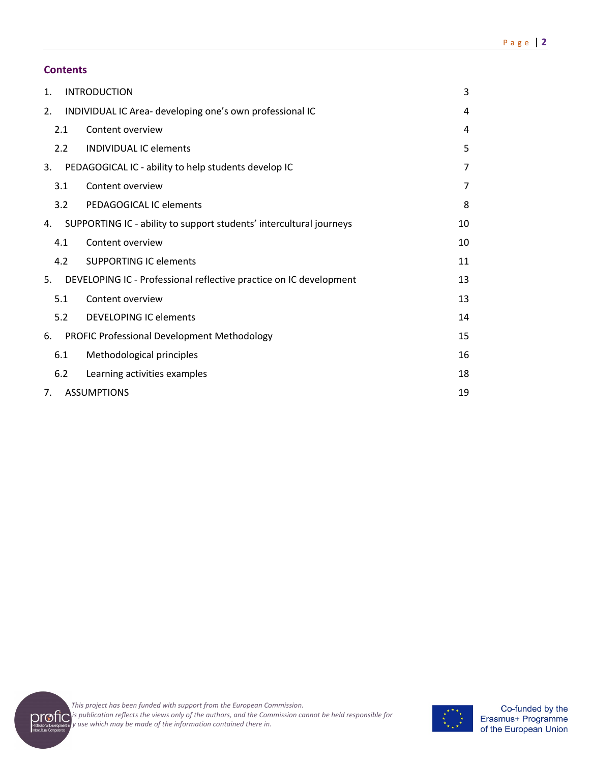| 1.  | <b>INTRODUCTION</b>                                                 | 3  |
|-----|---------------------------------------------------------------------|----|
| 2.  | INDIVIDUAL IC Area- developing one's own professional IC            | 4  |
| 2.1 | Content overview                                                    | 4  |
| 2.2 | <b>INDIVIDUAL IC elements</b>                                       | 5  |
| 3.  | PEDAGOGICAL IC - ability to help students develop IC                | 7  |
| 3.1 | Content overview                                                    | 7  |
| 3.2 | PEDAGOGICAL IC elements                                             | 8  |
| 4.  | SUPPORTING IC - ability to support students' intercultural journeys | 10 |
| 4.1 | Content overview                                                    | 10 |
| 4.2 | <b>SUPPORTING IC elements</b>                                       | 11 |
| 5.  | DEVELOPING IC - Professional reflective practice on IC development  | 13 |
| 5.1 | Content overview                                                    | 13 |
| 5.2 | <b>DEVELOPING IC elements</b>                                       | 14 |
| 6.  | PROFIC Professional Development Methodology                         | 15 |
| 6.1 | Methodological principles                                           | 16 |
| 6.2 | Learning activities examples                                        | 18 |
| 7.  | <b>ASSUMPTIONS</b>                                                  | 19 |



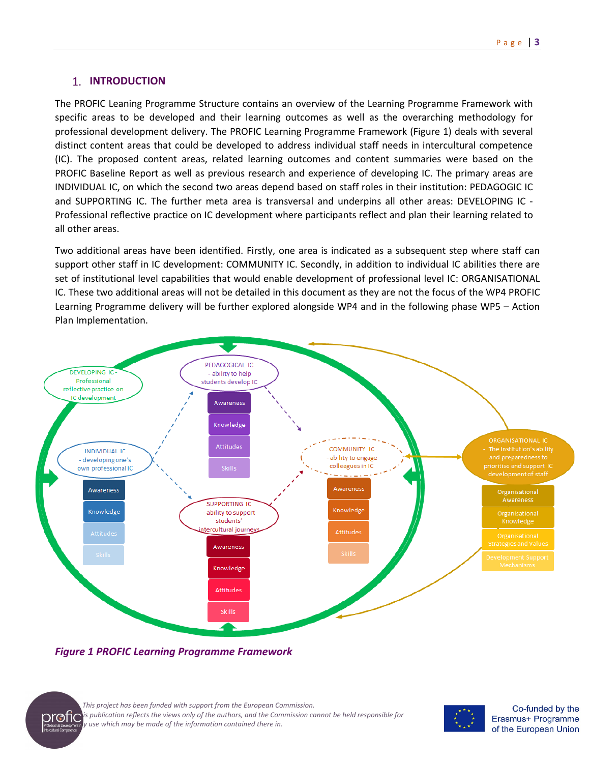# **1. INTRODUCTION**

The PROFIC Leaning Programme Structure contains an overview of the Learning Programme Framework with specific areas to be developed and their learning outcomes as well as the overarching methodology for professional development delivery. The PROFIC Learning Programme Framework (Figure 1) deals with several distinct content areas that could be developed to address individual staff needs in intercultural competence (IC). The proposed content areas, related learning outcomes and content summaries were based on the PROFIC Baseline Report as well as previous research and experience of developing IC. The primary areas are INDIVIDUAL IC, on which the second two areas depend based on staff roles in their institution: PEDAGOGIC IC and SUPPORTING IC. The further meta area is transversal and underpins all other areas: DEVELOPING IC - Professional reflective practice on IC development where participants reflect and plan their learning related to all other areas.

Two additional areas have been identified. Firstly, one area is indicated as a subsequent step where staff can support other staff in IC development: COMMUNITY IC. Secondly, in addition to individual IC abilities there are set of institutional level capabilities that would enable development of professional level IC: ORGANISATIONAL IC. These two additional areas will not be detailed in this document as they are not the focus of the WP4 PROFIC Learning Programme delivery will be further explored alongside WP4 and in the following phase WP5 – Action Plan Implementation.



*Figure 1 PROFIC Learning Programme Framework*



*This project has been funded with support from the European Commission.* **The fight** publication reflects the views only of the authors, and the Commission cannot be held responsible for<br> **The fight** *any use which may be made of the information contained there in.*

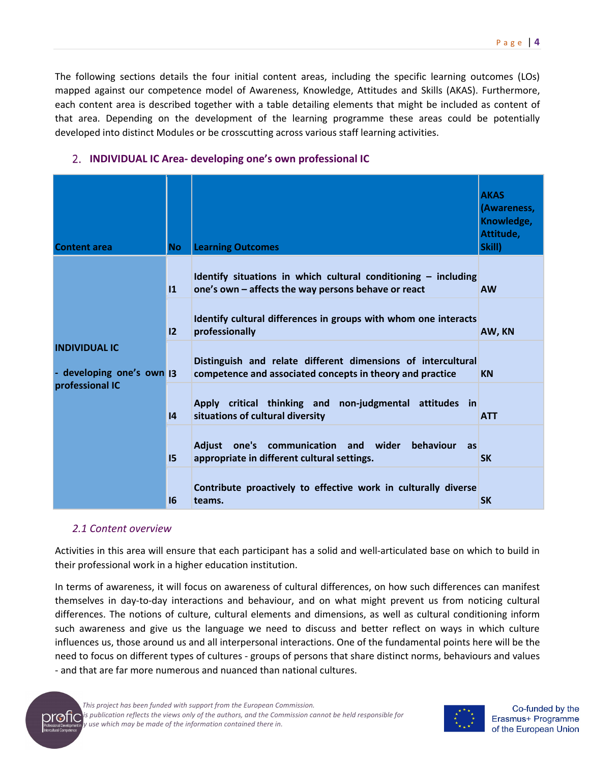The following sections details the four initial content areas, including the specific learning outcomes (LOs) mapped against our competence model of Awareness, Knowledge, Attitudes and Skills (AKAS). Furthermore, each content area is described together with a table detailing elements that might be included as content of that area. Depending on the development of the learning programme these areas could be potentially developed into distinct Modules or be crosscutting across various staff learning activities.

| <b>Content area</b>                               | <b>No</b>     | <b>Learning Outcomes</b>                                                                                                  | <b>AKAS</b><br>(Awareness,<br>Knowledge,<br>Attitude,<br>Skill) |
|---------------------------------------------------|---------------|---------------------------------------------------------------------------------------------------------------------------|-----------------------------------------------------------------|
|                                                   | $\mathbf{11}$ | Identify situations in which cultural conditioning $-$ including<br>one's own - affects the way persons behave or react   | <b>AW</b>                                                       |
|                                                   | 12            | Identify cultural differences in groups with whom one interacts<br>professionally                                         | AW, KN                                                          |
| <b>INDIVIDUAL IC</b><br>- developing one's own  3 |               | Distinguish and relate different dimensions of intercultural<br>competence and associated concepts in theory and practice | <b>KN</b>                                                       |
| professional IC                                   | 4             | Apply critical thinking and non-judgmental attitudes in<br>situations of cultural diversity                               | <b>ATT</b>                                                      |
|                                                   | 15            | one's communication and wider<br><b>Adjust</b><br>behaviour<br>as<br>appropriate in different cultural settings.          | <b>SK</b>                                                       |
|                                                   | 16            | Contribute proactively to effective work in culturally diverse<br>teams.                                                  | <b>SK</b>                                                       |

# **INDIVIDUAL IC Area- developing one's own professional IC**

#### *2.1 Content overview*

Activities in this area will ensure that each participant has a solid and well-articulated base on which to build in their professional work in a higher education institution.

In terms of awareness, it will focus on awareness of cultural differences, on how such differences can manifest themselves in day-to-day interactions and behaviour, and on what might prevent us from noticing cultural differences. The notions of culture, cultural elements and dimensions, as well as cultural conditioning inform such awareness and give us the language we need to discuss and better reflect on ways in which culture influences us, those around us and all interpersonal interactions. One of the fundamental points here will be the need to focus on different types of cultures - groups of persons that share distinct norms, behaviours and values - and that are far more numerous and nuanced than national cultures.



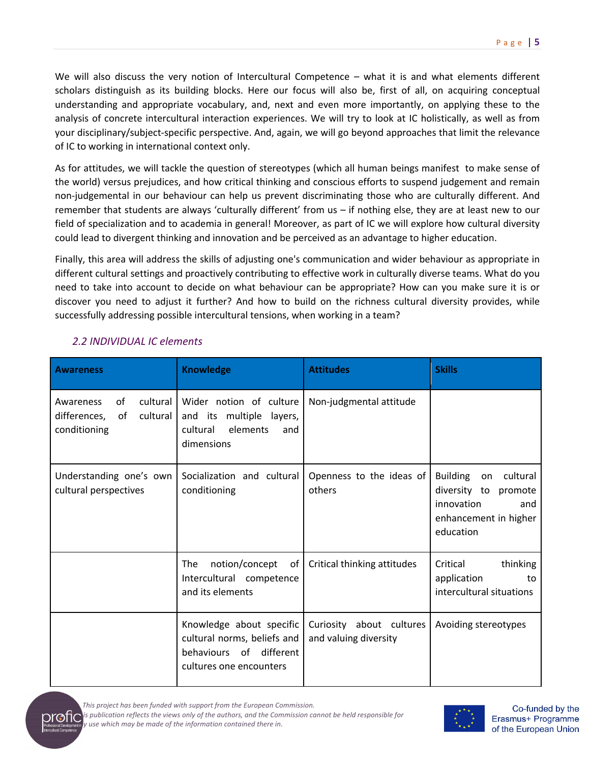We will also discuss the very notion of Intercultural Competence – what it is and what elements different scholars distinguish as its building blocks. Here our focus will also be, first of all, on acquiring conceptual understanding and appropriate vocabulary, and, next and even more importantly, on applying these to the analysis of concrete intercultural interaction experiences. We will try to look at IC holistically, as well as from your disciplinary/subject-specific perspective. And, again, we will go beyond approaches that limit the relevance of IC to working in international context only.

As for attitudes, we will tackle the question of stereotypes (which all human beings manifest to make sense of the world) versus prejudices, and how critical thinking and conscious efforts to suspend judgement and remain non-judgemental in our behaviour can help us prevent discriminating those who are culturally different. And remember that students are always 'culturally different' from us – if nothing else, they are at least new to our field of specialization and to academia in general! Moreover, as part of IC we will explore how cultural diversity could lead to divergent thinking and innovation and be perceived as an advantage to higher education.

Finally, this area will address the skills of adjusting one's communication and wider behaviour as appropriate in different cultural settings and proactively contributing to effective work in culturally diverse teams. What do you need to take into account to decide on what behaviour can be appropriate? How can you make sure it is or discover you need to adjust it further? And how to build on the richness cultural diversity provides, while successfully addressing possible intercultural tensions, when working in a team?

| <b>Awareness</b>                                                              | <b>Knowledge</b>                                                                                              | <b>Attitudes</b>                                  | <b>Skills</b>                                                                                                        |
|-------------------------------------------------------------------------------|---------------------------------------------------------------------------------------------------------------|---------------------------------------------------|----------------------------------------------------------------------------------------------------------------------|
| cultural<br>οf<br>Awareness<br>cultural<br>differences,<br>of<br>conditioning | Wider notion of culture<br>and its multiple<br>layers,<br>elements<br>cultural<br>and<br>dimensions           | Non-judgmental attitude                           |                                                                                                                      |
| Understanding one's own<br>cultural perspectives                              | Socialization and cultural<br>conditioning                                                                    | Openness to the ideas of<br>others                | <b>Building</b><br>cultural<br>on<br>diversity to promote<br>innovation<br>and<br>enhancement in higher<br>education |
|                                                                               | notion/concept<br>The<br>of<br>Intercultural competence<br>and its elements                                   | Critical thinking attitudes                       | Critical<br>thinking<br>application<br>to<br>intercultural situations                                                |
|                                                                               | Knowledge about specific<br>cultural norms, beliefs and<br>behaviours of different<br>cultures one encounters | Curiosity about cultures<br>and valuing diversity | Avoiding stereotypes                                                                                                 |

# *2.2 INDIVIDUAL IC elements*

*This project has been funded with support from the European Commission.*

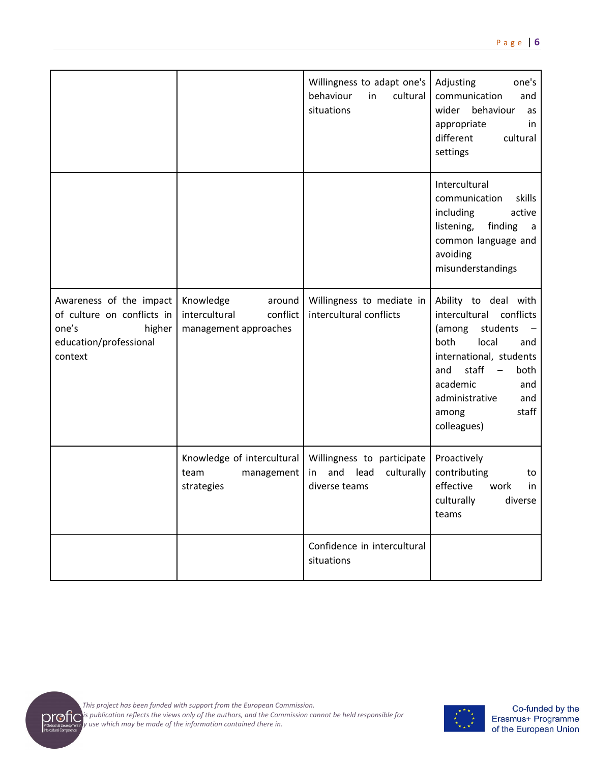|                                                                                                               |                                                                           | Willingness to adapt one's<br>behaviour<br>cultural<br>in<br>situations     | one's<br>Adjusting<br>communication<br>and<br>behaviour<br>wider<br>as<br>appropriate<br>in<br>different<br>cultural<br>settings                                                                                              |
|---------------------------------------------------------------------------------------------------------------|---------------------------------------------------------------------------|-----------------------------------------------------------------------------|-------------------------------------------------------------------------------------------------------------------------------------------------------------------------------------------------------------------------------|
|                                                                                                               |                                                                           |                                                                             | Intercultural<br>communication<br>skills<br>active<br>including<br>listening,<br>finding<br>a<br>common language and<br>avoiding<br>misunderstandings                                                                         |
| Awareness of the impact<br>of culture on conflicts in<br>one's<br>higher<br>education/professional<br>context | Knowledge<br>around<br>conflict<br>intercultural<br>management approaches | Willingness to mediate in<br>intercultural conflicts                        | Ability to deal with<br>intercultural conflicts<br>(among<br>students<br>both<br>local<br>and<br>international, students<br>staff<br>both<br>and<br>academic<br>and<br>administrative<br>and<br>staff<br>among<br>colleagues) |
|                                                                                                               | Knowledge of intercultural<br>team<br>management<br>strategies            | Willingness to participate<br>and lead<br>culturally<br>in<br>diverse teams | Proactively<br>contributing<br>to<br>effective<br>work<br>in<br>culturally<br>diverse<br>teams                                                                                                                                |
|                                                                                                               |                                                                           | Confidence in intercultural<br>situations                                   |                                                                                                                                                                                                                               |

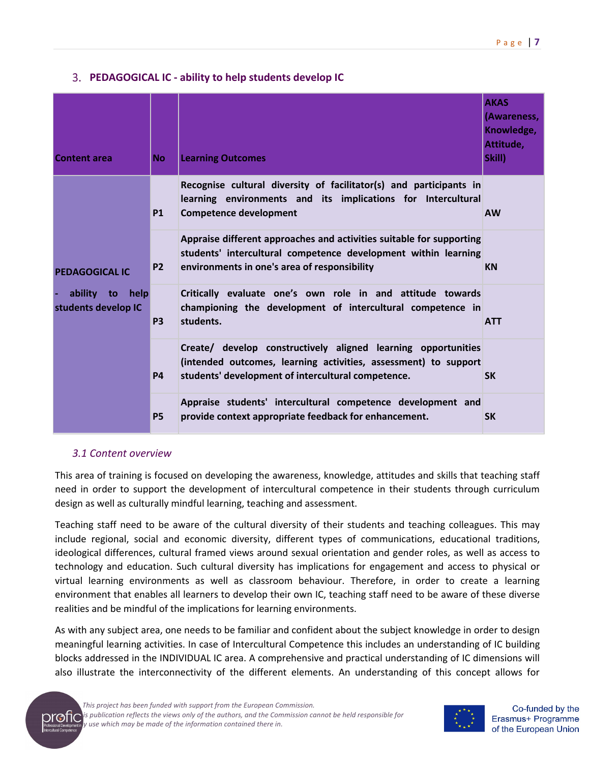# **PEDAGOGICAL IC - ability to help students develop IC**

| <b>Content area</b>                    | <b>No</b> | <b>Learning Outcomes</b>                                                                                                                                                               | <b>AKAS</b><br>(Awareness,<br>Knowledge,<br>Attitude,<br>Skill) |
|----------------------------------------|-----------|----------------------------------------------------------------------------------------------------------------------------------------------------------------------------------------|-----------------------------------------------------------------|
|                                        | <b>P1</b> | Recognise cultural diversity of facilitator(s) and participants in<br>learning environments and its implications for Intercultural<br><b>Competence development</b>                    | <b>AW</b>                                                       |
| <b>PEDAGOGICAL IC</b>                  | <b>P2</b> | Appraise different approaches and activities suitable for supporting<br>students' intercultural competence development within learning<br>environments in one's area of responsibility | <b>KN</b>                                                       |
| ability to help<br>students develop IC | <b>P3</b> | Critically evaluate one's own role in and attitude towards<br>championing the development of intercultural competence in<br>students.                                                  | <b>ATT</b>                                                      |
|                                        | <b>P4</b> | Create/ develop constructively aligned learning opportunities<br>(intended outcomes, learning activities, assessment) to support<br>students' development of intercultural competence. | <b>SK</b>                                                       |
|                                        | <b>P5</b> | Appraise students' intercultural competence development and<br>provide context appropriate feedback for enhancement.                                                                   | <b>SK</b>                                                       |

## *3.1 Content overview*

This area of training is focused on developing the awareness, knowledge, attitudes and skills that teaching staff need in order to support the development of intercultural competence in their students through curriculum design as well as culturally mindful learning, teaching and assessment.

Teaching staff need to be aware of the cultural diversity of their students and teaching colleagues. This may include regional, social and economic diversity, different types of communications, educational traditions, ideological differences, cultural framed views around sexual orientation and gender roles, as well as access to technology and education. Such cultural diversity has implications for engagement and access to physical or virtual learning environments as well as classroom behaviour. Therefore, in order to create a learning environment that enables all learners to develop their own IC, teaching staff need to be aware of these diverse realities and be mindful of the implications for learning environments.

As with any subject area, one needs to be familiar and confident about the subject knowledge in order to design meaningful learning activities. In case of Intercultural Competence this includes an understanding of IC building blocks addressed in the INDIVIDUAL IC area. A comprehensive and practical understanding of IC dimensions will also illustrate the interconnectivity of the different elements. An understanding of this concept allows for





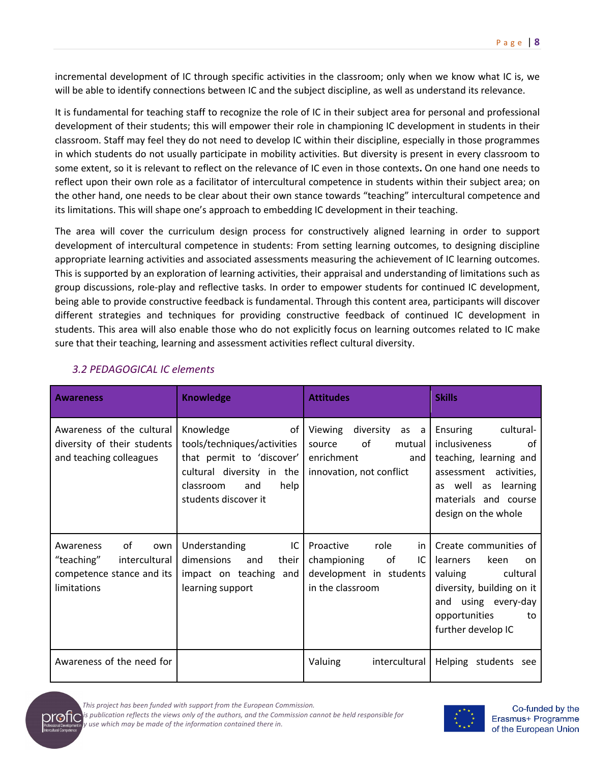incremental development of IC through specific activities in the classroom; only when we know what IC is, we will be able to identify connections between IC and the subject discipline, as well as understand its relevance.

It is fundamental for teaching staff to recognize the role of IC in their subject area for personal and professional development of their students; this will empower their role in championing IC development in students in their classroom. Staff may feel they do not need to develop IC within their discipline, especially in those programmes in which students do not usually participate in mobility activities. But diversity is present in every classroom to some extent, so it is relevant to reflect on the relevance of IC even in those contexts**.** On one hand one needs to reflect upon their own role as a facilitator of intercultural competence in students within their subject area; on the other hand, one needs to be clear about their own stance towards "teaching" intercultural competence and its limitations. This will shape one's approach to embedding IC development in their teaching.

The area will cover the curriculum design process for constructively aligned learning in order to support development of intercultural competence in students: From setting learning outcomes, to designing discipline appropriate learning activities and associated assessments measuring the achievement of IC learning outcomes. This is supported by an exploration of learning activities, their appraisal and understanding of limitations such as group discussions, role-play and reflective tasks. In order to empower students for continued IC development, being able to provide constructive feedback is fundamental. Through this content area, participants will discover different strategies and techniques for providing constructive feedback of continued IC development in students. This area will also enable those who do not explicitly focus on learning outcomes related to IC make sure that their teaching, learning and assessment activities reflect cultural diversity.

| <b>Awareness</b>                                                                                  | <b>Knowledge</b>                                                                                                                                             | <b>Attitudes</b>                                                                                     | <b>Skills</b>                                                                                                                                                            |
|---------------------------------------------------------------------------------------------------|--------------------------------------------------------------------------------------------------------------------------------------------------------------|------------------------------------------------------------------------------------------------------|--------------------------------------------------------------------------------------------------------------------------------------------------------------------------|
| Awareness of the cultural<br>diversity of their students<br>and teaching colleagues               | Knowledge<br>of<br>tools/techniques/activities<br>that permit to 'discover'<br>cultural diversity in the<br>classroom<br>and<br>help<br>students discover it | Viewing<br>diversity as a<br>of<br>mutual<br>source<br>enrichment<br>and<br>innovation, not conflict | Ensuring<br>cultural-<br>inclusiveness<br>Ωf<br>teaching, learning and<br>assessment activities,<br>as well as learning<br>materials and course<br>design on the whole   |
| of<br>Awareness<br>own<br>"teaching"<br>intercultural<br>competence stance and its<br>limitations | IC<br>Understanding<br>dimensions<br>and<br>their<br>impact on teaching and<br>learning support                                                              | Proactive<br>role<br>in<br>of<br>championing<br>IC<br>development in students<br>in the classroom    | Create communities of<br>keen<br>learners<br>on.<br>cultural<br>valuing<br>diversity, building on it<br>and using every-day<br>opportunities<br>to<br>further develop IC |
| Awareness of the need for                                                                         |                                                                                                                                                              | Valuing<br>intercultural                                                                             | Helping students see                                                                                                                                                     |

# *3.2 PEDAGOGICAL IC elements*

*This project has been funded with support from the European Commission. This publication reflects the views only of the authors, and the Commission cannot be held responsible for any use which may be made of the information contained there in.*

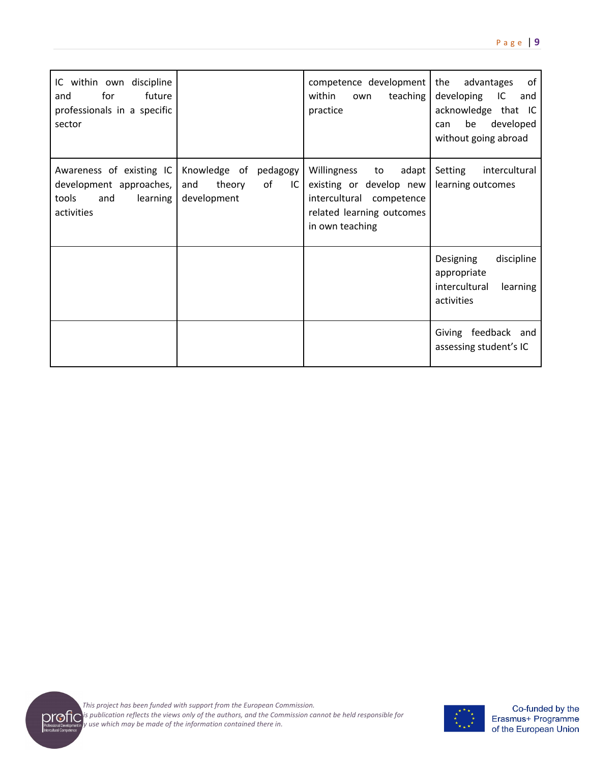| IC within own discipline<br>for<br>future<br>and<br>professionals in a specific<br>sector     |                                                                      | competence development<br>within<br>teaching<br>own<br>practice                                                                     | the<br>advantages<br>0f<br>developing<br>IC<br>and<br>acknowledge that<br>- IC<br>be<br>developed<br>can<br>without going abroad |
|-----------------------------------------------------------------------------------------------|----------------------------------------------------------------------|-------------------------------------------------------------------------------------------------------------------------------------|----------------------------------------------------------------------------------------------------------------------------------|
| Awareness of existing IC<br>development approaches,<br>tools<br>and<br>learning<br>activities | Knowledge of<br>pedagogy<br>of<br>and<br>theory<br>IC<br>development | Willingness<br>to<br>adapt  <br>existing or develop new<br>intercultural competence<br>related learning outcomes<br>in own teaching | Setting<br>intercultural<br>learning outcomes                                                                                    |
|                                                                                               |                                                                      |                                                                                                                                     | discipline<br>Designing<br>appropriate<br>intercultural<br>learning<br>activities                                                |
|                                                                                               |                                                                      |                                                                                                                                     | Giving feedback and<br>assessing student's IC                                                                                    |





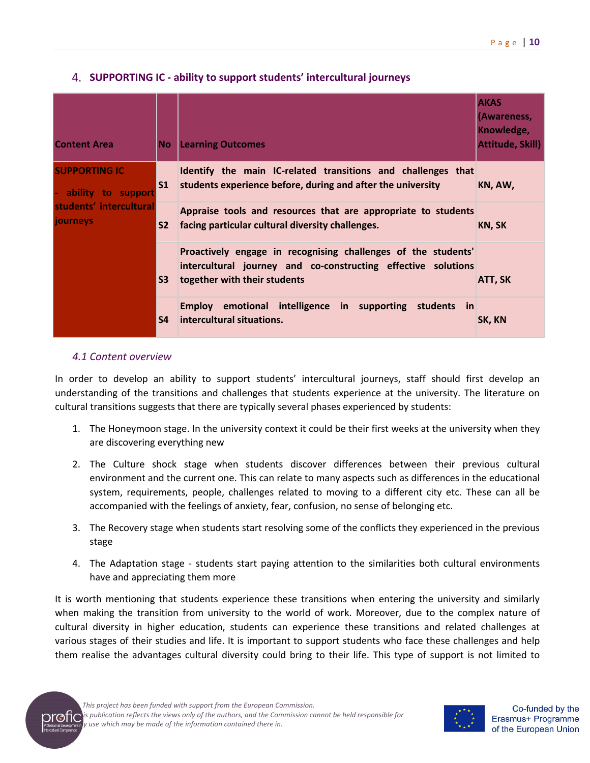| <b>Content Area</b>                        | No.            | <b>Learning Outcomes</b>                                                                                                                                       | <b>AKAS</b><br>(Awareness,<br>Knowledge,<br><b>Attitude, Skill)</b> |
|--------------------------------------------|----------------|----------------------------------------------------------------------------------------------------------------------------------------------------------------|---------------------------------------------------------------------|
| <b>SUPPORTING IC</b><br>ability to support | S <sub>1</sub> | Identify the main IC-related transitions and challenges that<br>students experience before, during and after the university                                    | KN, AW,                                                             |
| students' intercultural<br>journeys        | $\mathsf{S2}$  | Appraise tools and resources that are appropriate to students<br>facing particular cultural diversity challenges.                                              | KN, SK                                                              |
|                                            | S <sub>3</sub> | Proactively engage in recognising challenges of the students'<br>intercultural journey and co-constructing effective solutions<br>together with their students | ATT, SK                                                             |
|                                            | S <sub>4</sub> | Employ emotional intelligence in supporting students in<br>intercultural situations.                                                                           | SK, KN                                                              |

# **SUPPORTING IC - ability to support students' intercultural journeys**

## *4.1 Content overview*

In order to develop an ability to support students' intercultural journeys, staff should first develop an understanding of the transitions and challenges that students experience at the university. The literature on cultural transitions suggests that there are typically several phases experienced by students:

- 1. The Honeymoon stage. In the university context it could be their first weeks at the university when they are discovering everything new
- 2. The Culture shock stage when students discover differences between their previous cultural environment and the current one. This can relate to many aspects such as differences in the educational system, requirements, people, challenges related to moving to a different city etc. These can all be accompanied with the feelings of anxiety, fear, confusion, no sense of belonging etc.
- 3. The Recovery stage when students start resolving some of the conflicts they experienced in the previous stage
- 4. The Adaptation stage students start paying attention to the similarities both cultural environments have and appreciating them more

It is worth mentioning that students experience these transitions when entering the university and similarly when making the transition from university to the world of work. Moreover, due to the complex nature of cultural diversity in higher education, students can experience these transitions and related challenges at various stages of their studies and life. It is important to support students who face these challenges and help them realise the advantages cultural diversity could bring to their life. This type of support is not limited to

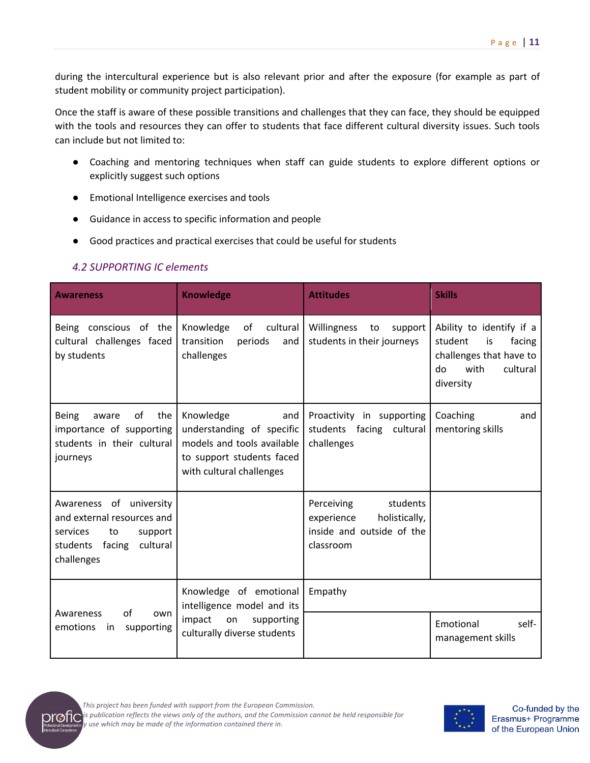during the intercultural experience but is also relevant prior and after the exposure (for example as part of student mobility or community project participation).

Once the staff is aware of these possible transitions and challenges that they can face, they should be equipped with the tools and resources they can offer to students that face different cultural diversity issues. Such tools can include but not limited to:

- Coaching and mentoring techniques when staff can guide students to explore different options or explicitly suggest such options
- Emotional Intelligence exercises and tools
- Guidance in access to specific information and people
- Good practices and practical exercises that could be useful for students

# *4.2 SUPPORTING IC elements*

| <b>Awareness</b>                                                                                                                   | <b>Knowledge</b>                                                                                                                     | <b>Attitudes</b>                                                                                | <b>Skills</b>                                                                                                         |
|------------------------------------------------------------------------------------------------------------------------------------|--------------------------------------------------------------------------------------------------------------------------------------|-------------------------------------------------------------------------------------------------|-----------------------------------------------------------------------------------------------------------------------|
| Being conscious of the<br>cultural challenges faced<br>by students                                                                 | cultural<br>Knowledge<br>of<br>transition<br>periods<br>and<br>challenges                                                            | Willingness<br>to<br>support<br>students in their journeys                                      | Ability to identify if a<br>student<br>is<br>facing<br>challenges that have to<br>with<br>cultural<br>do<br>diversity |
| <b>Being</b><br>of<br>the<br>aware<br>importance of supporting<br>students in their cultural<br>journeys                           | Knowledge<br>and<br>understanding of specific<br>models and tools available<br>to support students faced<br>with cultural challenges | Proactivity in supporting<br>students facing cultural<br>challenges                             | Coaching<br>and<br>mentoring skills                                                                                   |
| Awareness of university<br>and external resources and<br>services<br>to<br>support<br>cultural<br>students<br>facing<br>challenges |                                                                                                                                      | Perceiving<br>students<br>experience<br>holistically,<br>inside and outside of the<br>classroom |                                                                                                                       |
|                                                                                                                                    | Knowledge of emotional<br>intelligence model and its                                                                                 | Empathy                                                                                         |                                                                                                                       |
| of<br>Awareness<br>own<br>emotions<br>supporting<br>in                                                                             | impact<br>on<br>supporting<br>culturally diverse students                                                                            |                                                                                                 | Emotional<br>self-<br>management skills                                                                               |



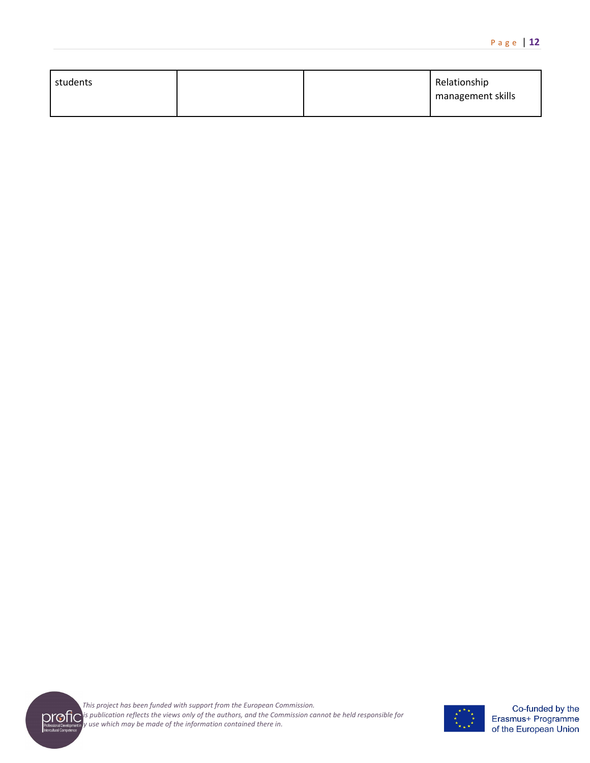| students |  | Relationship      |
|----------|--|-------------------|
|          |  | management skills |
|          |  |                   |



*This project has been funded with support from the European Commission. This publication reflects the views only of the authors, and the Commission cannot be held responsible for any use which may be made of the information contained there in.*

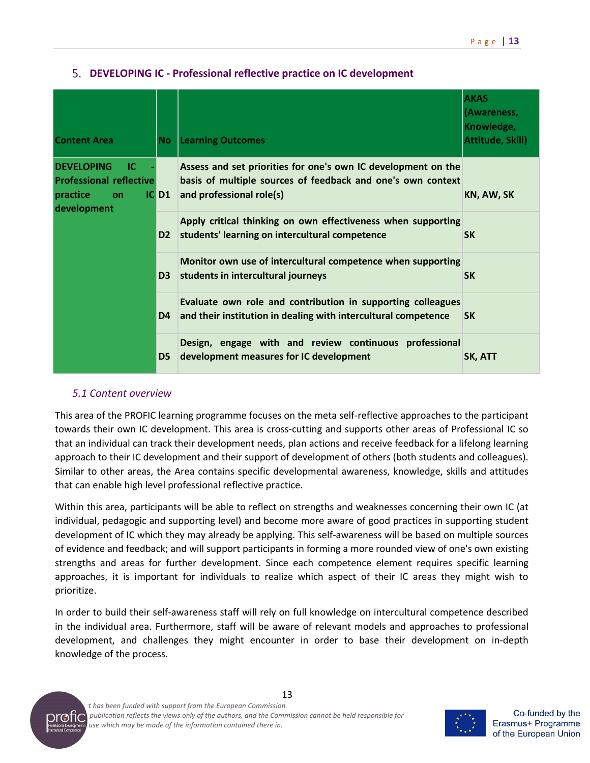| <b>Content Area</b>                                                                        | No.            | <b>Learning Outcomes</b>                                                                                                                                 | <b>AKAS</b><br>(Awareness,<br>Knowledge,<br>Attitude, Skill) |
|--------------------------------------------------------------------------------------------|----------------|----------------------------------------------------------------------------------------------------------------------------------------------------------|--------------------------------------------------------------|
| <b>DEVELOPING</b><br>ТC<br><b>Professional reflective</b><br>practice<br>on<br>development | $IC$ D1        | Assess and set priorities for one's own IC development on the<br>basis of multiple sources of feedback and one's own context<br>and professional role(s) | KN, AW, SK                                                   |
|                                                                                            | D <sub>2</sub> | Apply critical thinking on own effectiveness when supporting<br>students' learning on intercultural competence                                           | <b>SK</b>                                                    |
|                                                                                            | D <sub>3</sub> | Monitor own use of intercultural competence when supporting<br>students in intercultural journeys                                                        | <b>SK</b>                                                    |
|                                                                                            | D <sub>4</sub> | Evaluate own role and contribution in supporting colleagues<br>and their institution in dealing with intercultural competence                            | <b>SK</b>                                                    |
|                                                                                            | D <sub>5</sub> | Design, engage with and review continuous professional<br>development measures for IC development                                                        | SK, ATT                                                      |

# **DEVELOPING IC - Professional reflective practice on IC development**

#### *5.1 Content overview*

This area of the PROFIC learning programme focuses on the meta self-reflective approaches to the participant towards their own IC development. This area is cross-cutting and supports other areas of Professional IC so that an individual can track their development needs, plan actions and receive feedback for a lifelong learning approach to their IC development and their support of development of others (both students and colleagues). Similar to other areas, the Area contains specific developmental awareness, knowledge, skills and attitudes that can enable high level professional reflective practice.

Within this area, participants will be able to reflect on strengths and weaknesses concerning their own IC (at individual, pedagogic and supporting level) and become more aware of good practices in supporting student development of IC which they may already be applying. This self-awareness will be based on multiple sources of evidence and feedback; and will support participants in forming a more rounded view of one's own existing strengths and areas for further development. Since each competence element requires specific learning approaches, it is important for individuals to realize which aspect of their IC areas they might wish to prioritize.

In order to build their self-awareness staff will rely on full knowledge on intercultural competence described in the individual area. Furthermore, staff will be aware of relevant models and approaches to professional development, and challenges they might encounter in order to base their development on in-depth knowledge of the process.





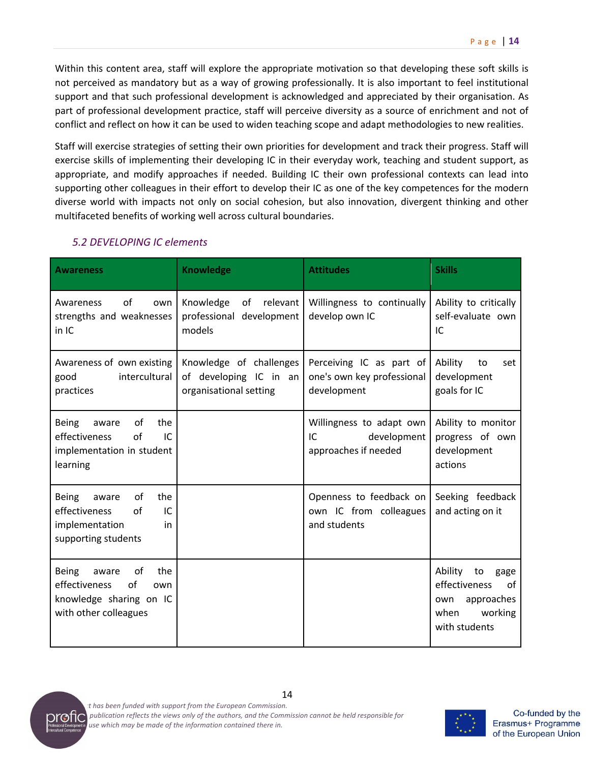Within this content area, staff will explore the appropriate motivation so that developing these soft skills is not perceived as mandatory but as a way of growing professionally. It is also important to feel institutional support and that such professional development is acknowledged and appreciated by their organisation. As part of professional development practice, staff will perceive diversity as a source of enrichment and not of conflict and reflect on how it can be used to widen teaching scope and adapt methodologies to new realities.

Staff will exercise strategies of setting their own priorities for development and track their progress. Staff will exercise skills of implementing their developing IC in their everyday work, teaching and student support, as appropriate, and modify approaches if needed. Building IC their own professional contexts can lead into supporting other colleagues in their effort to develop their IC as one of the key competences for the modern diverse world with impacts not only on social cohesion, but also innovation, divergent thinking and other multifaceted benefits of working well across cultural boundaries.

| <b>Awareness</b>                                                                                                     | <b>Knowledge</b>                                                            | <b>Attitudes</b>                                                       | <b>Skills</b>                                                                                         |
|----------------------------------------------------------------------------------------------------------------------|-----------------------------------------------------------------------------|------------------------------------------------------------------------|-------------------------------------------------------------------------------------------------------|
| of<br>Awareness<br>own<br>strengths and weaknesses<br>in IC                                                          | Knowledge<br>relevant<br>of<br>professional development<br>models           | Willingness to continually<br>develop own IC                           | Ability to critically<br>self-evaluate own<br>IC                                                      |
| Awareness of own existing<br>intercultural<br>good<br>practices                                                      | Knowledge of challenges<br>of developing IC in an<br>organisational setting | Perceiving IC as part of<br>one's own key professional<br>development  | Ability<br>to<br>set<br>development<br>goals for IC                                                   |
| <b>Being</b><br>of<br>the<br>aware<br>IC<br>effectiveness<br>of<br>implementation in student<br>learning             |                                                                             | Willingness to adapt own<br>IC.<br>development<br>approaches if needed | Ability to monitor<br>progress of own<br>development<br>actions                                       |
| of<br><b>Being</b><br>the<br>aware<br>effectiveness<br>of<br>IC<br>implementation<br>in<br>supporting students       |                                                                             | Openness to feedback on<br>own IC from colleagues<br>and students      | Seeking feedback<br>and acting on it                                                                  |
| of<br><b>Being</b><br>the<br>aware<br>effectiveness<br>of<br>own<br>knowledge sharing on IC<br>with other colleagues |                                                                             |                                                                        | Ability<br>to<br>gage<br>effectiveness<br>0f<br>approaches<br>own<br>working<br>when<br>with students |

# *5.2 DEVELOPING IC elements*



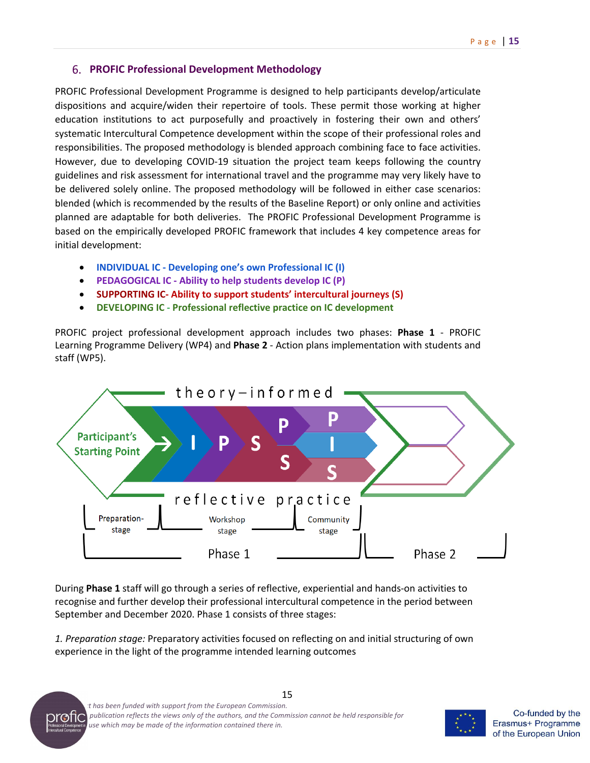# **PROFIC Professional Development Methodology**

PROFIC Professional Development Programme is designed to help participants develop/articulate dispositions and acquire/widen their repertoire of tools. These permit those working at higher education institutions to act purposefully and proactively in fostering their own and others' systematic Intercultural Competence development within the scope of their professional roles and responsibilities. The proposed methodology is blended approach combining face to face activities. However, due to developing COVID-19 situation the project team keeps following the country guidelines and risk assessment for international travel and the programme may very likely have to be delivered solely online. The proposed methodology will be followed in either case scenarios: blended (which is recommended by the results of the Baseline Report) or only online and activities planned are adaptable for both deliveries. The PROFIC Professional Development Programme is based on the empirically developed PROFIC framework that includes 4 key competence areas for initial development:

- **INDIVIDUAL IC - Developing one's own Professional IC (I)**
- **PEDAGOGICAL IC - Ability to help students develop IC (P)**
- **SUPPORTING IC- Ability to support students' intercultural journeys (S)**
- **DEVELOPING IC - Professional reflective practice on IC development**

PROFIC project professional development approach includes two phases: **Phase 1** - PROFIC Learning Programme Delivery (WP4) and **Phase 2** - Action plans implementation with students and staff (WP5).



During **Phase 1** staff will go through a series of reflective, experiential and hands-on activities to recognise and further develop their professional intercultural competence in the period between September and December 2020. Phase 1 consists of three stages:

*1. Preparation stage:* Preparatory activities focused on reflecting on and initial structuring of own experience in the light of the programme intended learning outcomes





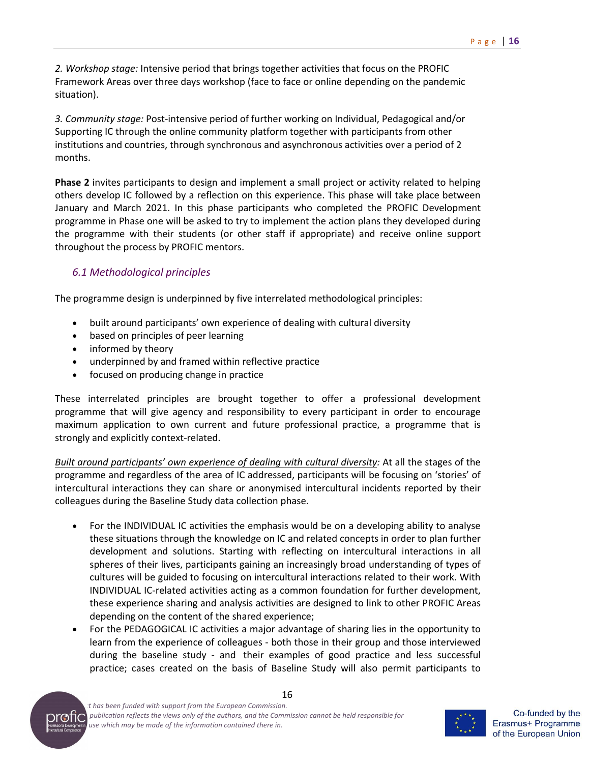*2. Workshop stage:* Intensive period that brings together activities that focus on the PROFIC Framework Areas over three days workshop (face to face or online depending on the pandemic situation).

*3. Community stage:* Post-intensive period of further working on Individual, Pedagogical and/or Supporting IC through the online community platform together with participants from other institutions and countries, through synchronous and asynchronous activities over a period of 2 months.

**Phase 2** invites participants to design and implement a small project or activity related to helping others develop IC followed by a reflection on this experience. This phase will take place between January and March 2021. In this phase participants who completed the PROFIC Development programme in Phase one will be asked to try to implement the action plans they developed during the programme with their students (or other staff if appropriate) and receive online support throughout the process by PROFIC mentors.

# *6.1 Methodological principles*

The programme design is underpinned by five interrelated methodological principles:

- built around participants' own experience of dealing with cultural diversity
- based on principles of peer learning
- informed by theory
- underpinned by and framed within reflective practice
- focused on producing change in practice

These interrelated principles are brought together to offer a professional development programme that will give agency and responsibility to every participant in order to encourage maximum application to own current and future professional practice, a programme that is strongly and explicitly context-related.

*Built around participants' own experience of dealing with cultural diversity:* At all the stages of the programme and regardless of the area of IC addressed, participants will be focusing on 'stories' of intercultural interactions they can share or anonymised intercultural incidents reported by their colleagues during the Baseline Study data collection phase.

- For the INDIVIDUAL IC activities the emphasis would be on a developing ability to analyse these situations through the knowledge on IC and related concepts in order to plan further development and solutions. Starting with reflecting on intercultural interactions in all spheres of their lives, participants gaining an increasingly broad understanding of types of cultures will be guided to focusing on intercultural interactions related to their work. With INDIVIDUAL IC-related activities acting as a common foundation for further development, these experience sharing and analysis activities are designed to link to other PROFIC Areas depending on the content of the shared experience;
- For the PEDAGOGICAL IC activities a major advantage of sharing lies in the opportunity to learn from the experience of colleagues - both those in their group and those interviewed during the baseline study - and their examples of good practice and less successful practice; cases created on the basis of Baseline Study will also permit participants to



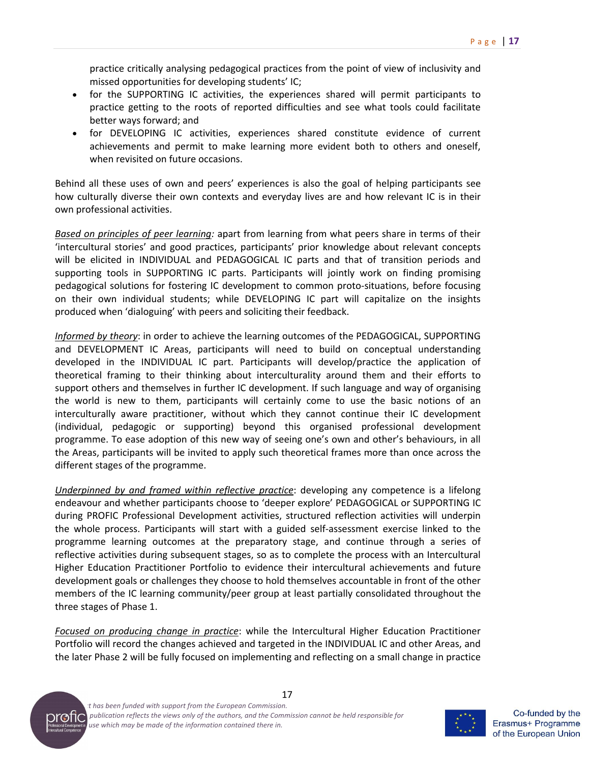practice critically analysing pedagogical practices from the point of view of inclusivity and missed opportunities for developing students' IC;

- for the SUPPORTING IC activities, the experiences shared will permit participants to practice getting to the roots of reported difficulties and see what tools could facilitate better ways forward; and
- for DEVELOPING IC activities, experiences shared constitute evidence of current achievements and permit to make learning more evident both to others and oneself, when revisited on future occasions.

Behind all these uses of own and peers' experiences is also the goal of helping participants see how culturally diverse their own contexts and everyday lives are and how relevant IC is in their own professional activities.

*Based on principles of peer learning:* apart from learning from what peers share in terms of their 'intercultural stories' and good practices, participants' prior knowledge about relevant concepts will be elicited in INDIVIDUAL and PEDAGOGICAL IC parts and that of transition periods and supporting tools in SUPPORTING IC parts. Participants will jointly work on finding promising pedagogical solutions for fostering IC development to common proto-situations, before focusing on their own individual students; while DEVELOPING IC part will capitalize on the insights produced when 'dialoguing' with peers and soliciting their feedback.

*Informed by theory*: in order to achieve the learning outcomes of the PEDAGOGICAL, SUPPORTING and DEVELOPMENT IC Areas, participants will need to build on conceptual understanding developed in the INDIVIDUAL IC part. Participants will develop/practice the application of theoretical framing to their thinking about interculturality around them and their efforts to support others and themselves in further IC development. If such language and way of organising the world is new to them, participants will certainly come to use the basic notions of an interculturally aware practitioner, without which they cannot continue their IC development (individual, pedagogic or supporting) beyond this organised professional development programme. To ease adoption of this new way of seeing one's own and other's behaviours, in all the Areas, participants will be invited to apply such theoretical frames more than once across the different stages of the programme.

*Underpinned by and framed within reflective practice*: developing any competence is a lifelong endeavour and whether participants choose to 'deeper explore' PEDAGOGICAL or SUPPORTING IC during PROFIC Professional Development activities, structured reflection activities will underpin the whole process. Participants will start with a guided self-assessment exercise linked to the programme learning outcomes at the preparatory stage, and continue through a series of reflective activities during subsequent stages, so as to complete the process with an Intercultural Higher Education Practitioner Portfolio to evidence their intercultural achievements and future development goals or challenges they choose to hold themselves accountable in front of the other members of the IC learning community/peer group at least partially consolidated throughout the three stages of Phase 1.

*Focused on producing change in practice*: while the Intercultural Higher Education Practitioner Portfolio will record the changes achieved and targeted in the INDIVIDUAL IC and other Areas, and the later Phase 2 will be fully focused on implementing and reflecting on a small change in practice





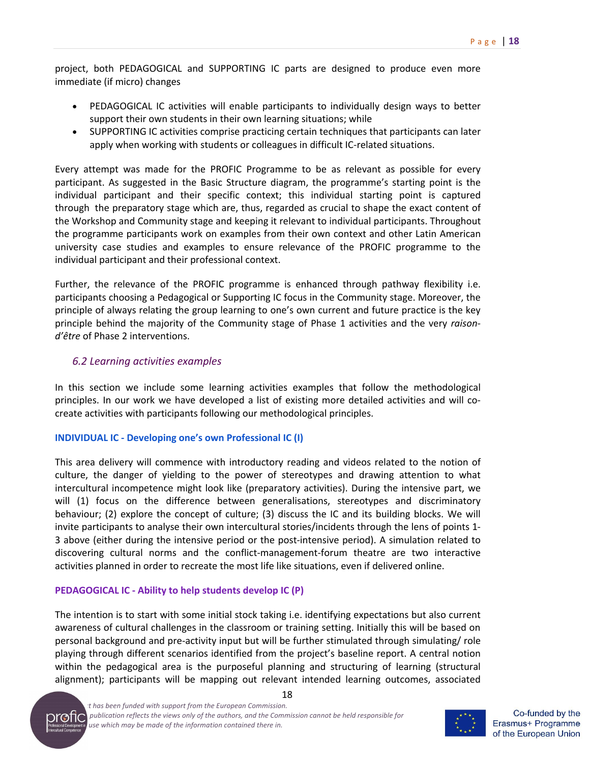project, both PEDAGOGICAL and SUPPORTING IC parts are designed to produce even more immediate (if micro) changes

- PEDAGOGICAL IC activities will enable participants to individually design ways to better support their own students in their own learning situations; while
- SUPPORTING IC activities comprise practicing certain techniques that participants can later apply when working with students or colleagues in difficult IC-related situations.

Every attempt was made for the PROFIC Programme to be as relevant as possible for every participant. As suggested in the Basic Structure diagram, the programme's starting point is the individual participant and their specific context; this individual starting point is captured through the preparatory stage which are, thus, regarded as crucial to shape the exact content of the Workshop and Community stage and keeping it relevant to individual participants. Throughout the programme participants work on examples from their own context and other Latin American university case studies and examples to ensure relevance of the PROFIC programme to the individual participant and their professional context.

Further, the relevance of the PROFIC programme is enhanced through pathway flexibility i.e. participants choosing a Pedagogical or Supporting IC focus in the Community stage. Moreover, the principle of always relating the group learning to one's own current and future practice is the key principle behind the majority of the Community stage of Phase 1 activities and the very *raisond'être* of Phase 2 interventions.

## *6.2 Learning activities examples*

In this section we include some learning activities examples that follow the methodological principles. In our work we have developed a list of existing more detailed activities and will cocreate activities with participants following our methodological principles.

## **INDIVIDUAL IC - Developing one's own Professional IC (I)**

This area delivery will commence with introductory reading and videos related to the notion of culture, the danger of yielding to the power of stereotypes and drawing attention to what intercultural incompetence might look like (preparatory activities). During the intensive part, we will (1) focus on the difference between generalisations, stereotypes and discriminatory behaviour; (2) explore the concept of culture; (3) discuss the IC and its building blocks. We will invite participants to analyse their own intercultural stories/incidents through the lens of points 1- 3 above (either during the intensive period or the post-intensive period). A simulation related to discovering cultural norms and the conflict-management-forum theatre are two interactive activities planned in order to recreate the most life like situations, even if delivered online.

## **PEDAGOGICAL IC - Ability to help students develop IC (P)**

The intention is to start with some initial stock taking i.e. identifying expectations but also current awareness of cultural challenges in the classroom or training setting. Initially this will be based on personal background and pre-activity input but will be further stimulated through simulating/ role playing through different scenarios identified from the project's baseline report. A central notion within the pedagogical area is the purposeful planning and structuring of learning (structural alignment); participants will be mapping out relevant intended learning outcomes, associated





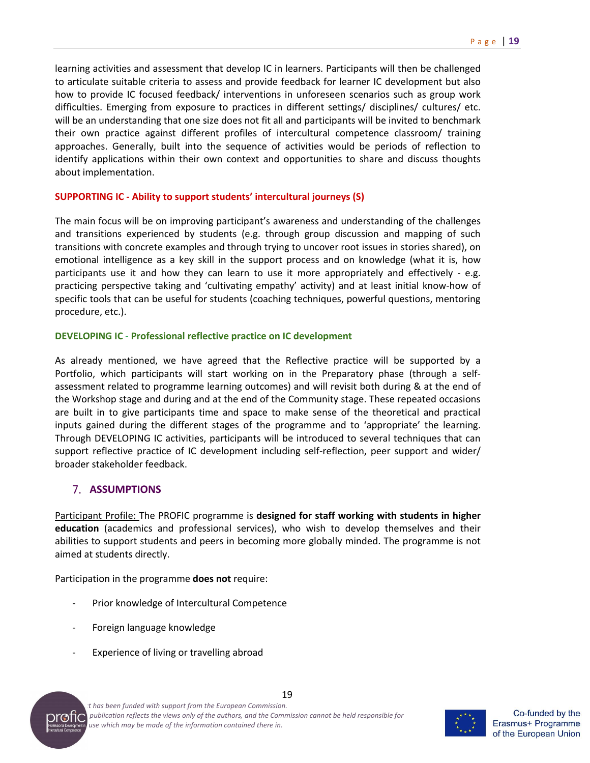learning activities and assessment that develop IC in learners. Participants will then be challenged to articulate suitable criteria to assess and provide feedback for learner IC development but also how to provide IC focused feedback/ interventions in unforeseen scenarios such as group work difficulties. Emerging from exposure to practices in different settings/ disciplines/ cultures/ etc. will be an understanding that one size does not fit all and participants will be invited to benchmark their own practice against different profiles of intercultural competence classroom/ training approaches. Generally, built into the sequence of activities would be periods of reflection to identify applications within their own context and opportunities to share and discuss thoughts about implementation.

#### **SUPPORTING IC - Ability to support students' intercultural journeys (S)**

The main focus will be on improving participant's awareness and understanding of the challenges and transitions experienced by students (e.g. through group discussion and mapping of such transitions with concrete examples and through trying to uncover root issues in stories shared), on emotional intelligence as a key skill in the support process and on knowledge (what it is, how participants use it and how they can learn to use it more appropriately and effectively - e.g. practicing perspective taking and 'cultivating empathy' activity) and at least initial know-how of specific tools that can be useful for students (coaching techniques, powerful questions, mentoring procedure, etc.).

#### **DEVELOPING IC - Professional reflective practice on IC development**

As already mentioned, we have agreed that the Reflective practice will be supported by a Portfolio, which participants will start working on in the Preparatory phase (through a selfassessment related to programme learning outcomes) and will revisit both during & at the end of the Workshop stage and during and at the end of the Community stage. These repeated occasions are built in to give participants time and space to make sense of the theoretical and practical inputs gained during the different stages of the programme and to 'appropriate' the learning. Through DEVELOPING IC activities, participants will be introduced to several techniques that can support reflective practice of IC development including self-reflection, peer support and wider/ broader stakeholder feedback.

## **7. ASSUMPTIONS**

Participant Profile: The PROFIC programme is **designed for staff working with students in higher education** (academics and professional services), who wish to develop themselves and their abilities to support students and peers in becoming more globally minded. The programme is not aimed at students directly.

Participation in the programme **does not** require:

- Prior knowledge of Intercultural Competence
- Foreign language knowledge
- Experience of living or travelling abroad





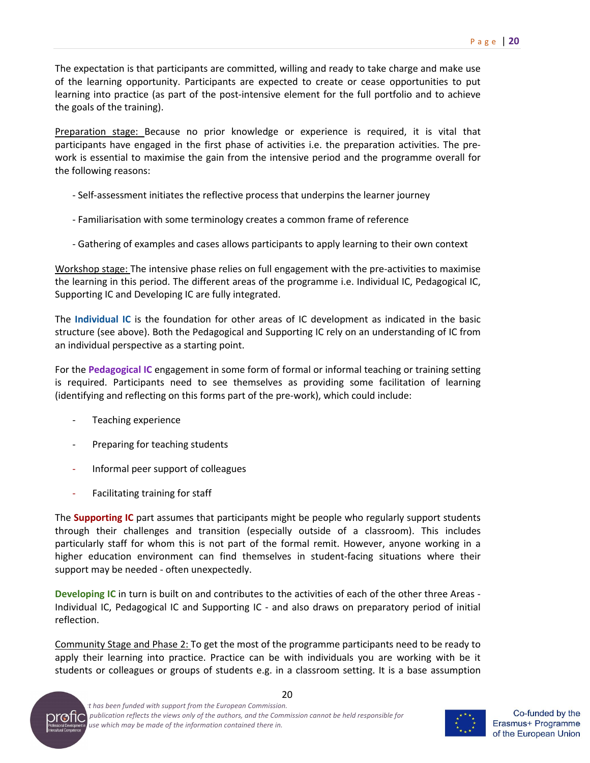The expectation is that participants are committed, willing and ready to take charge and make use of the learning opportunity. Participants are expected to create or cease opportunities to put learning into practice (as part of the post-intensive element for the full portfolio and to achieve the goals of the training).

Preparation stage: Because no prior knowledge or experience is required, it is vital that participants have engaged in the first phase of activities i.e. the preparation activities. The prework is essential to maximise the gain from the intensive period and the programme overall for the following reasons:

- Self-assessment initiates the reflective process that underpins the learner journey
- Familiarisation with some terminology creates a common frame of reference
- Gathering of examples and cases allows participants to apply learning to their own context

Workshop stage: The intensive phase relies on full engagement with the pre-activities to maximise the learning in this period. The different areas of the programme i.e. Individual IC, Pedagogical IC, Supporting IC and Developing IC are fully integrated.

The **Individual IC** is the foundation for other areas of IC development as indicated in the basic structure (see above). Both the Pedagogical and Supporting IC rely on an understanding of IC from an individual perspective as a starting point.

For the **Pedagogical IC** engagement in some form of formal or informal teaching or training setting is required. Participants need to see themselves as providing some facilitation of learning (identifying and reflecting on this forms part of the pre-work), which could include:

- Teaching experience
- Preparing for teaching students
- Informal peer support of colleagues
- Facilitating training for staff

The **Supporting IC** part assumes that participants might be people who regularly support students through their challenges and transition (especially outside of a classroom). This includes particularly staff for whom this is not part of the formal remit. However, anyone working in a higher education environment can find themselves in student-facing situations where their support may be needed - often unexpectedly.

**Developing IC** in turn is built on and contributes to the activities of each of the other three Areas - Individual IC, Pedagogical IC and Supporting IC - and also draws on preparatory period of initial reflection.

Community Stage and Phase 2: To get the most of the programme participants need to be ready to apply their learning into practice. Practice can be with individuals you are working with be it students or colleagues or groups of students e.g. in a classroom setting. It is a base assumption